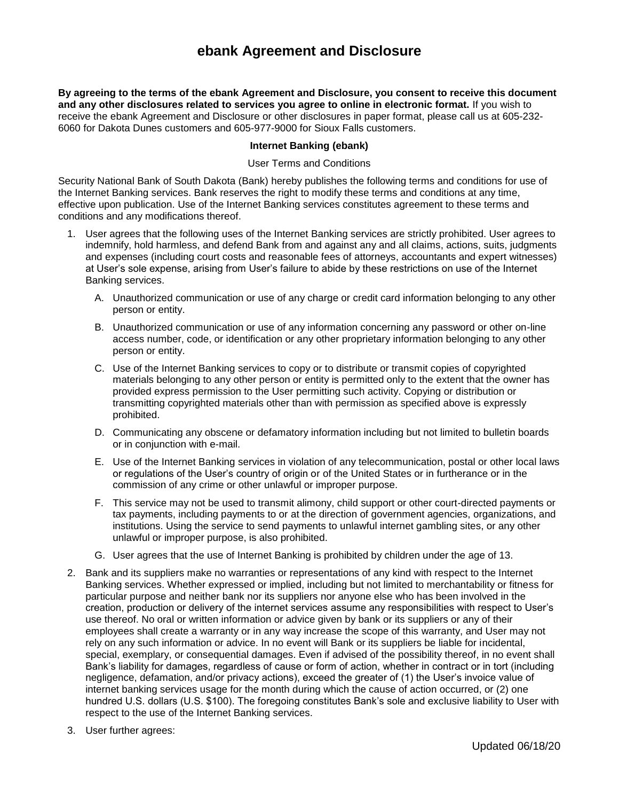# **ebank Agreement and Disclosure**

**By agreeing to the terms of the ebank Agreement and Disclosure, you consent to receive this document and any other disclosures related to services you agree to online in electronic format.** If you wish to receive the ebank Agreement and Disclosure or other disclosures in paper format, please call us at 605-232- 6060 for Dakota Dunes customers and 605-977-9000 for Sioux Falls customers.

#### **Internet Banking (ebank)**

#### User Terms and Conditions

Security National Bank of South Dakota (Bank) hereby publishes the following terms and conditions for use of the Internet Banking services. Bank reserves the right to modify these terms and conditions at any time, effective upon publication. Use of the Internet Banking services constitutes agreement to these terms and conditions and any modifications thereof.

- 1. User agrees that the following uses of the Internet Banking services are strictly prohibited. User agrees to indemnify, hold harmless, and defend Bank from and against any and all claims, actions, suits, judgments and expenses (including court costs and reasonable fees of attorneys, accountants and expert witnesses) at User's sole expense, arising from User's failure to abide by these restrictions on use of the Internet Banking services.
	- A. Unauthorized communication or use of any charge or credit card information belonging to any other person or entity.
	- B. Unauthorized communication or use of any information concerning any password or other on-line access number, code, or identification or any other proprietary information belonging to any other person or entity.
	- C. Use of the Internet Banking services to copy or to distribute or transmit copies of copyrighted materials belonging to any other person or entity is permitted only to the extent that the owner has provided express permission to the User permitting such activity. Copying or distribution or transmitting copyrighted materials other than with permission as specified above is expressly prohibited.
	- D. Communicating any obscene or defamatory information including but not limited to bulletin boards or in conjunction with e-mail.
	- E. Use of the Internet Banking services in violation of any telecommunication, postal or other local laws or regulations of the User's country of origin or of the United States or in furtherance or in the commission of any crime or other unlawful or improper purpose.
	- F. This service may not be used to transmit alimony, child support or other court-directed payments or tax payments, including payments to or at the direction of government agencies, organizations, and institutions. Using the service to send payments to unlawful internet gambling sites, or any other unlawful or improper purpose, is also prohibited.
	- G. User agrees that the use of Internet Banking is prohibited by children under the age of 13.
- 2. Bank and its suppliers make no warranties or representations of any kind with respect to the Internet Banking services. Whether expressed or implied, including but not limited to merchantability or fitness for particular purpose and neither bank nor its suppliers nor anyone else who has been involved in the creation, production or delivery of the internet services assume any responsibilities with respect to User's use thereof. No oral or written information or advice given by bank or its suppliers or any of their employees shall create a warranty or in any way increase the scope of this warranty, and User may not rely on any such information or advice. In no event will Bank or its suppliers be liable for incidental, special, exemplary, or consequential damages. Even if advised of the possibility thereof, in no event shall Bank's liability for damages, regardless of cause or form of action, whether in contract or in tort (including negligence, defamation, and/or privacy actions), exceed the greater of (1) the User's invoice value of internet banking services usage for the month during which the cause of action occurred, or (2) one hundred U.S. dollars (U.S. \$100). The foregoing constitutes Bank's sole and exclusive liability to User with respect to the use of the Internet Banking services.
- 3. User further agrees: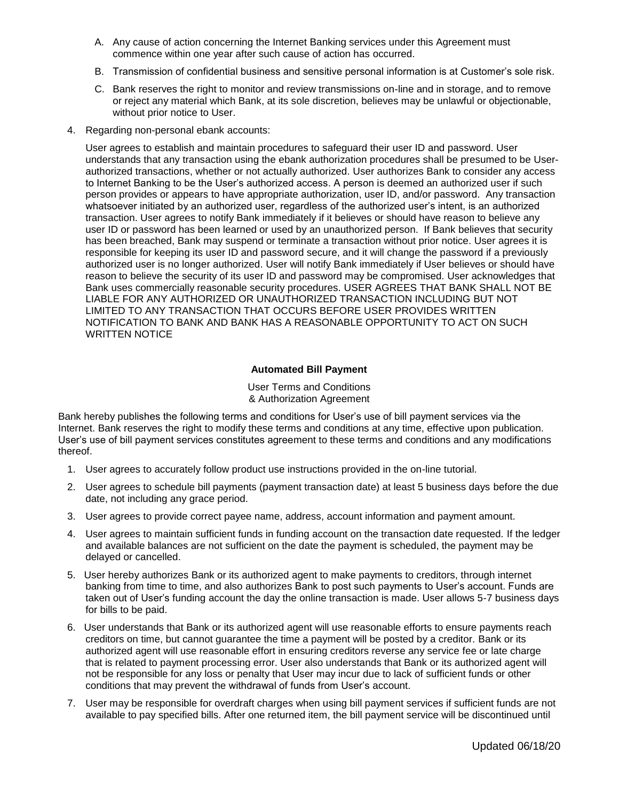- A. Any cause of action concerning the Internet Banking services under this Agreement must commence within one year after such cause of action has occurred.
- B. Transmission of confidential business and sensitive personal information is at Customer's sole risk.
- C. Bank reserves the right to monitor and review transmissions on-line and in storage, and to remove or reject any material which Bank, at its sole discretion, believes may be unlawful or objectionable, without prior notice to User.
- 4. Regarding non-personal ebank accounts:

User agrees to establish and maintain procedures to safeguard their user ID and password. User understands that any transaction using the ebank authorization procedures shall be presumed to be Userauthorized transactions, whether or not actually authorized. User authorizes Bank to consider any access to Internet Banking to be the User's authorized access. A person is deemed an authorized user if such person provides or appears to have appropriate authorization, user ID, and/or password. Any transaction whatsoever initiated by an authorized user, regardless of the authorized user's intent, is an authorized transaction. User agrees to notify Bank immediately if it believes or should have reason to believe any user ID or password has been learned or used by an unauthorized person. If Bank believes that security has been breached, Bank may suspend or terminate a transaction without prior notice. User agrees it is responsible for keeping its user ID and password secure, and it will change the password if a previously authorized user is no longer authorized. User will notify Bank immediately if User believes or should have reason to believe the security of its user ID and password may be compromised. User acknowledges that Bank uses commercially reasonable security procedures. USER AGREES THAT BANK SHALL NOT BE LIABLE FOR ANY AUTHORIZED OR UNAUTHORIZED TRANSACTION INCLUDING BUT NOT LIMITED TO ANY TRANSACTION THAT OCCURS BEFORE USER PROVIDES WRITTEN NOTIFICATION TO BANK AND BANK HAS A REASONABLE OPPORTUNITY TO ACT ON SUCH WRITTEN NOTICE

## **Automated Bill Payment**

User Terms and Conditions & Authorization Agreement

Bank hereby publishes the following terms and conditions for User's use of bill payment services via the Internet. Bank reserves the right to modify these terms and conditions at any time, effective upon publication. User's use of bill payment services constitutes agreement to these terms and conditions and any modifications thereof.

- 1. User agrees to accurately follow product use instructions provided in the on-line tutorial.
- 2. User agrees to schedule bill payments (payment transaction date) at least 5 business days before the due date, not including any grace period.
- 3. User agrees to provide correct payee name, address, account information and payment amount.
- 4. User agrees to maintain sufficient funds in funding account on the transaction date requested. If the ledger and available balances are not sufficient on the date the payment is scheduled, the payment may be delayed or cancelled.
- 5. User hereby authorizes Bank or its authorized agent to make payments to creditors, through internet banking from time to time, and also authorizes Bank to post such payments to User's account. Funds are taken out of User's funding account the day the online transaction is made. User allows 5-7 business days for bills to be paid.
- 6. User understands that Bank or its authorized agent will use reasonable efforts to ensure payments reach creditors on time, but cannot guarantee the time a payment will be posted by a creditor. Bank or its authorized agent will use reasonable effort in ensuring creditors reverse any service fee or late charge that is related to payment processing error. User also understands that Bank or its authorized agent will not be responsible for any loss or penalty that User may incur due to lack of sufficient funds or other conditions that may prevent the withdrawal of funds from User's account.
- 7. User may be responsible for overdraft charges when using bill payment services if sufficient funds are not available to pay specified bills. After one returned item, the bill payment service will be discontinued until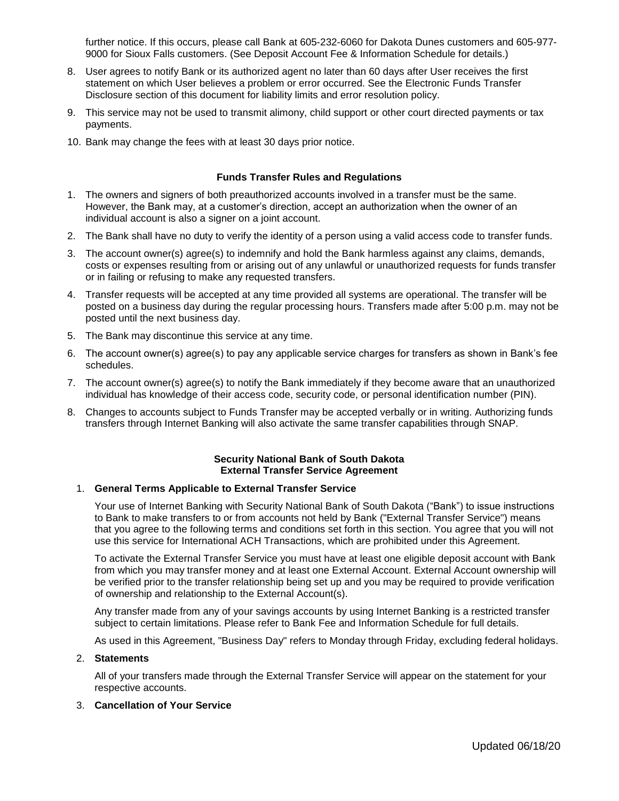further notice. If this occurs, please call Bank at 605-232-6060 for Dakota Dunes customers and 605-977- 9000 for Sioux Falls customers. (See Deposit Account Fee & Information Schedule for details.)

- 8. User agrees to notify Bank or its authorized agent no later than 60 days after User receives the first statement on which User believes a problem or error occurred. See the Electronic Funds Transfer Disclosure section of this document for liability limits and error resolution policy.
- 9. This service may not be used to transmit alimony, child support or other court directed payments or tax payments.
- 10. Bank may change the fees with at least 30 days prior notice.

## **Funds Transfer Rules and Regulations**

- 1. The owners and signers of both preauthorized accounts involved in a transfer must be the same. However, the Bank may, at a customer's direction, accept an authorization when the owner of an individual account is also a signer on a joint account.
- 2. The Bank shall have no duty to verify the identity of a person using a valid access code to transfer funds.
- 3. The account owner(s) agree(s) to indemnify and hold the Bank harmless against any claims, demands, costs or expenses resulting from or arising out of any unlawful or unauthorized requests for funds transfer or in failing or refusing to make any requested transfers.
- 4. Transfer requests will be accepted at any time provided all systems are operational. The transfer will be posted on a business day during the regular processing hours. Transfers made after 5:00 p.m. may not be posted until the next business day.
- 5. The Bank may discontinue this service at any time.
- 6. The account owner(s) agree(s) to pay any applicable service charges for transfers as shown in Bank's fee schedules.
- 7. The account owner(s) agree(s) to notify the Bank immediately if they become aware that an unauthorized individual has knowledge of their access code, security code, or personal identification number (PIN).
- 8. Changes to accounts subject to Funds Transfer may be accepted verbally or in writing. Authorizing funds transfers through Internet Banking will also activate the same transfer capabilities through SNAP.

#### **Security National Bank of South Dakota External Transfer Service Agreement**

#### 1. **General Terms Applicable to External Transfer Service**

Your use of Internet Banking with Security National Bank of South Dakota ("Bank") to issue instructions to Bank to make transfers to or from accounts not held by Bank ("External Transfer Service") means that you agree to the following terms and conditions set forth in this section. You agree that you will not use this service for International ACH Transactions, which are prohibited under this Agreement.

To activate the External Transfer Service you must have at least one eligible deposit account with Bank from which you may transfer money and at least one External Account. External Account ownership will be verified prior to the transfer relationship being set up and you may be required to provide verification of ownership and relationship to the External Account(s).

Any transfer made from any of your savings accounts by using Internet Banking is a restricted transfer subject to certain limitations. Please refer to Bank Fee and Information Schedule for full details.

As used in this Agreement, "Business Day" refers to Monday through Friday, excluding federal holidays.

#### 2. **Statements**

All of your transfers made through the External Transfer Service will appear on the statement for your respective accounts.

#### 3. **Cancellation of Your Service**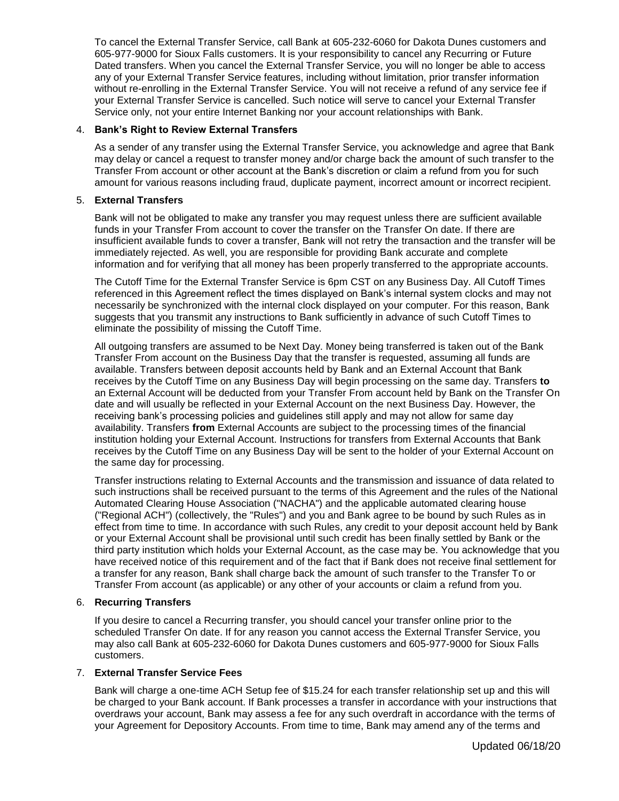To cancel the External Transfer Service, call Bank at 605-232-6060 for Dakota Dunes customers and 605-977-9000 for Sioux Falls customers. It is your responsibility to cancel any Recurring or Future Dated transfers. When you cancel the External Transfer Service, you will no longer be able to access any of your External Transfer Service features, including without limitation, prior transfer information without re-enrolling in the External Transfer Service. You will not receive a refund of any service fee if your External Transfer Service is cancelled. Such notice will serve to cancel your External Transfer Service only, not your entire Internet Banking nor your account relationships with Bank.

## 4. **Bank's Right to Review External Transfers**

As a sender of any transfer using the External Transfer Service, you acknowledge and agree that Bank may delay or cancel a request to transfer money and/or charge back the amount of such transfer to the Transfer From account or other account at the Bank's discretion or claim a refund from you for such amount for various reasons including fraud, duplicate payment, incorrect amount or incorrect recipient.

#### 5. **External Transfers**

Bank will not be obligated to make any transfer you may request unless there are sufficient available funds in your Transfer From account to cover the transfer on the Transfer On date. If there are insufficient available funds to cover a transfer, Bank will not retry the transaction and the transfer will be immediately rejected. As well, you are responsible for providing Bank accurate and complete information and for verifying that all money has been properly transferred to the appropriate accounts.

The Cutoff Time for the External Transfer Service is 6pm CST on any Business Day. All Cutoff Times referenced in this Agreement reflect the times displayed on Bank's internal system clocks and may not necessarily be synchronized with the internal clock displayed on your computer. For this reason, Bank suggests that you transmit any instructions to Bank sufficiently in advance of such Cutoff Times to eliminate the possibility of missing the Cutoff Time.

All outgoing transfers are assumed to be Next Day. Money being transferred is taken out of the Bank Transfer From account on the Business Day that the transfer is requested, assuming all funds are available. Transfers between deposit accounts held by Bank and an External Account that Bank receives by the Cutoff Time on any Business Day will begin processing on the same day. Transfers **to**  an External Account will be deducted from your Transfer From account held by Bank on the Transfer On date and will usually be reflected in your External Account on the next Business Day. However, the receiving bank's processing policies and guidelines still apply and may not allow for same day availability. Transfers **from** External Accounts are subject to the processing times of the financial institution holding your External Account. Instructions for transfers from External Accounts that Bank receives by the Cutoff Time on any Business Day will be sent to the holder of your External Account on the same day for processing.

Transfer instructions relating to External Accounts and the transmission and issuance of data related to such instructions shall be received pursuant to the terms of this Agreement and the rules of the National Automated Clearing House Association ("NACHA") and the applicable automated clearing house ("Regional ACH") (collectively, the "Rules") and you and Bank agree to be bound by such Rules as in effect from time to time. In accordance with such Rules, any credit to your deposit account held by Bank or your External Account shall be provisional until such credit has been finally settled by Bank or the third party institution which holds your External Account, as the case may be. You acknowledge that you have received notice of this requirement and of the fact that if Bank does not receive final settlement for a transfer for any reason, Bank shall charge back the amount of such transfer to the Transfer To or Transfer From account (as applicable) or any other of your accounts or claim a refund from you.

#### 6. **Recurring Transfers**

If you desire to cancel a Recurring transfer, you should cancel your transfer online prior to the scheduled Transfer On date. If for any reason you cannot access the External Transfer Service, you may also call Bank at 605-232-6060 for Dakota Dunes customers and 605-977-9000 for Sioux Falls customers.

# 7. **External Transfer Service Fees**

Bank will charge a one-time ACH Setup fee of \$15.24 for each transfer relationship set up and this will be charged to your Bank account. If Bank processes a transfer in accordance with your instructions that overdraws your account, Bank may assess a fee for any such overdraft in accordance with the terms of your Agreement for Depository Accounts. From time to time, Bank may amend any of the terms and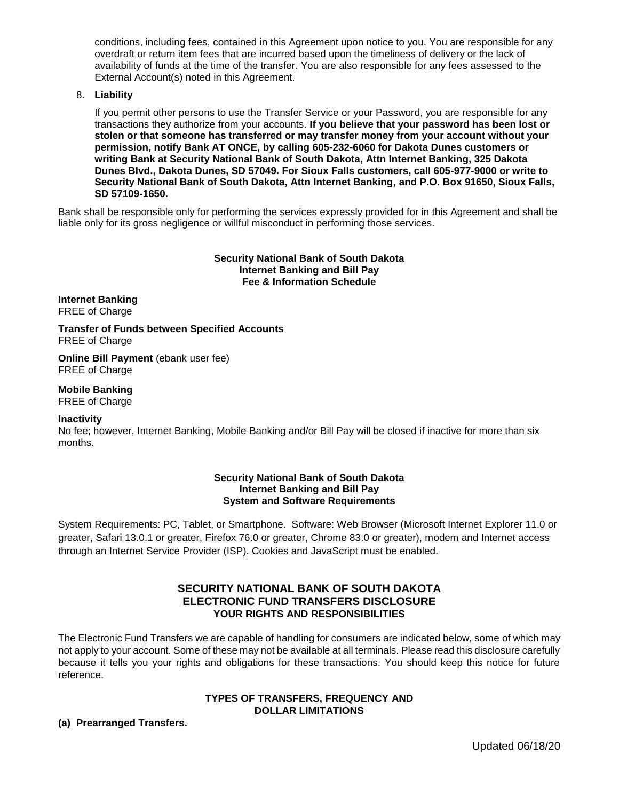conditions, including fees, contained in this Agreement upon notice to you. You are responsible for any overdraft or return item fees that are incurred based upon the timeliness of delivery or the lack of availability of funds at the time of the transfer. You are also responsible for any fees assessed to the External Account(s) noted in this Agreement.

#### 8. **Liability**

If you permit other persons to use the Transfer Service or your Password, you are responsible for any transactions they authorize from your accounts. **If you believe that your password has been lost or stolen or that someone has transferred or may transfer money from your account without your permission, notify Bank AT ONCE, by calling 605-232-6060 for Dakota Dunes customers or writing Bank at Security National Bank of South Dakota, Attn Internet Banking, 325 Dakota Dunes Blvd., Dakota Dunes, SD 57049. For Sioux Falls customers, call 605-977-9000 or write to Security National Bank of South Dakota, Attn Internet Banking, and P.O. Box 91650, Sioux Falls, SD 57109-1650.**

Bank shall be responsible only for performing the services expressly provided for in this Agreement and shall be liable only for its gross negligence or willful misconduct in performing those services.

#### **Security National Bank of South Dakota Internet Banking and Bill Pay Fee & Information Schedule**

**Internet Banking** FREE of Charge

**Transfer of Funds between Specified Accounts** FREE of Charge

**Online Bill Payment** (ebank user fee) FREE of Charge

**Mobile Banking** FREE of Charge

#### **Inactivity**

No fee; however, Internet Banking, Mobile Banking and/or Bill Pay will be closed if inactive for more than six months.

### **Security National Bank of South Dakota Internet Banking and Bill Pay System and Software Requirements**

System Requirements: PC, Tablet, or Smartphone. Software: Web Browser (Microsoft Internet Explorer 11.0 or greater, Safari 13.0.1 or greater, Firefox 76.0 or greater, Chrome 83.0 or greater), modem and Internet access through an Internet Service Provider (ISP). Cookies and JavaScript must be enabled.

# **SECURITY NATIONAL BANK OF SOUTH DAKOTA ELECTRONIC FUND TRANSFERS DISCLOSURE YOUR RIGHTS AND RESPONSIBILITIES**

The Electronic Fund Transfers we are capable of handling for consumers are indicated below, some of which may not apply to your account. Some of these may not be available at all terminals. Please read this disclosure carefully because it tells you your rights and obligations for these transactions. You should keep this notice for future reference.

# **TYPES OF TRANSFERS, FREQUENCY AND DOLLAR LIMITATIONS**

# **(a) Prearranged Transfers.**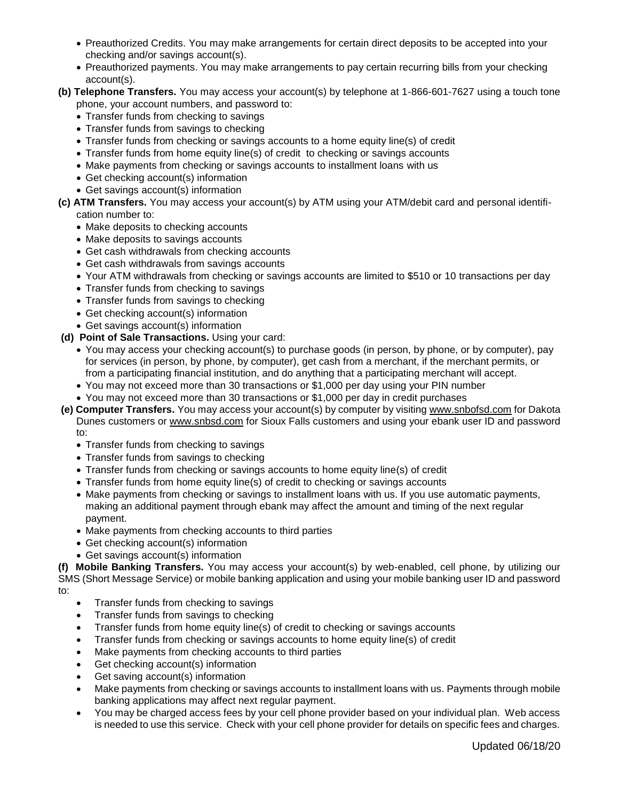- Preauthorized Credits. You may make arrangements for certain direct deposits to be accepted into your checking and/or savings account(s).
- Preauthorized payments. You may make arrangements to pay certain recurring bills from your checking account(s).
- **(b) Telephone Transfers.** You may access your account(s) by telephone at 1-866-601-7627 using a touch tone phone, your account numbers, and password to:
	- Transfer funds from checking to savings
	- Transfer funds from savings to checking
	- Transfer funds from checking or savings accounts to a home equity line(s) of credit
	- Transfer funds from home equity line(s) of credit to checking or savings accounts
	- Make payments from checking or savings accounts to installment loans with us
	- Get checking account(s) information
	- Get savings account(s) information
- **(c) ATM Transfers.** You may access your account(s) by ATM using your ATM/debit card and personal identification number to:
	- Make deposits to checking accounts
	- Make deposits to savings accounts
	- Get cash withdrawals from checking accounts
	- Get cash withdrawals from savings accounts
	- Your ATM withdrawals from checking or savings accounts are limited to \$510 or 10 transactions per day
	- Transfer funds from checking to savings
	- Transfer funds from savings to checking
	- Get checking account(s) information
	- Get savings account(s) information
- **(d) Point of Sale Transactions.** Using your card:
	- You may access your checking account(s) to purchase goods (in person, by phone, or by computer), pay for services (in person, by phone, by computer), get cash from a merchant, if the merchant permits, or from a participating financial institution, and do anything that a participating merchant will accept.
	- You may not exceed more than 30 transactions or \$1,000 per day using your PIN number
	- You may not exceed more than 30 transactions or \$1,000 per day in credit purchases
- **(e) Computer Transfers.** You may access your account(s) by computer by visiting www.snbofsd.com for Dakota Dunes customers or www.snbsd.com for Sioux Falls customers and using your ebank user ID and password to:
	- Transfer funds from checking to savings
	- Transfer funds from savings to checking
	- Transfer funds from checking or savings accounts to home equity line(s) of credit
	- Transfer funds from home equity line(s) of credit to checking or savings accounts
	- Make payments from checking or savings to installment loans with us. If you use automatic payments, making an additional payment through ebank may affect the amount and timing of the next regular payment.
	- Make payments from checking accounts to third parties
	- Get checking account(s) information
	- Get savings account(s) information

**(f) Mobile Banking Transfers.** You may access your account(s) by web-enabled, cell phone, by utilizing our SMS (Short Message Service) or mobile banking application and using your mobile banking user ID and password to:

- Transfer funds from checking to savings
- Transfer funds from savings to checking
- Transfer funds from home equity line(s) of credit to checking or savings accounts
- Transfer funds from checking or savings accounts to home equity line(s) of credit
- Make payments from checking accounts to third parties
- Get checking account(s) information
- Get saving account(s) information
- Make payments from checking or savings accounts to installment loans with us. Payments through mobile banking applications may affect next regular payment.
- You may be charged access fees by your cell phone provider based on your individual plan. Web access is needed to use this service. Check with your cell phone provider for details on specific fees and charges.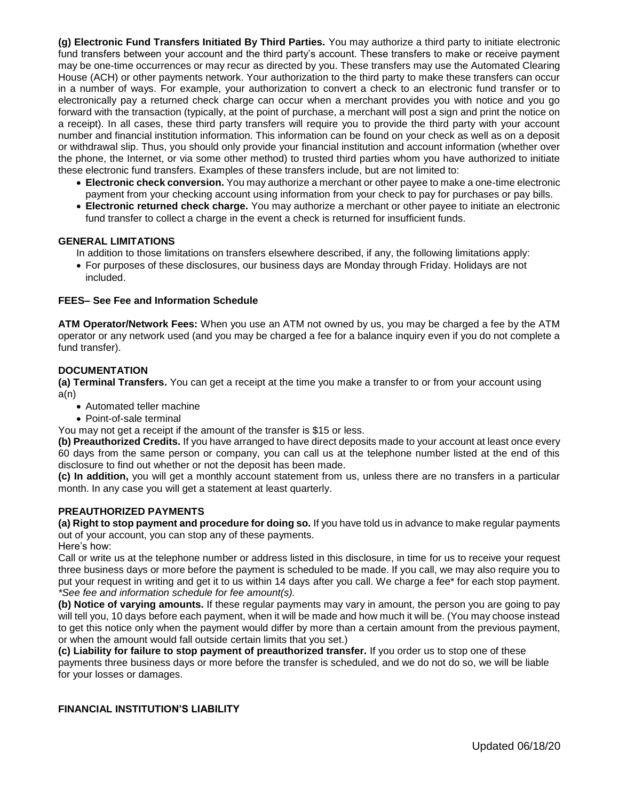**(g) Electronic Fund Transfers Initiated By Third Parties.** You may authorize a third party to initiate electronic fund transfers between your account and the third party's account. These transfers to make or receive payment may be one-time occurrences or may recur as directed by you. These transfers may use the Automated Clearing House (ACH) or other payments network. Your authorization to the third party to make these transfers can occur in a number of ways. For example, your authorization to convert a check to an electronic fund transfer or to electronically pay a returned check charge can occur when a merchant provides you with notice and you go forward with the transaction (typically, at the point of purchase, a merchant will post a sign and print the notice on a receipt). In all cases, these third party transfers will require you to provide the third party with your account number and financial institution information. This information can be found on your check as well as on a deposit or withdrawal slip. Thus, you should only provide your financial institution and account information (whether over the phone, the Internet, or via some other method) to trusted third parties whom you have authorized to initiate these electronic fund transfers. Examples of these transfers include, but are not limited to:

- **Electronic check conversion.** You may authorize a merchant or other payee to make a one-time electronic payment from your checking account using information from your check to pay for purchases or pay bills.
- **Electronic returned check charge.** You may authorize a merchant or other payee to initiate an electronic fund transfer to collect a charge in the event a check is returned for insufficient funds.

#### **GENERAL LIMITATIONS**

In addition to those limitations on transfers elsewhere described, if any, the following limitations apply:

 For purposes of these disclosures, our business days are Monday through Friday. Holidays are not included.

# **FEES– See Fee and Information Schedule**

**ATM Operator/Network Fees:** When you use an ATM not owned by us, you may be charged a fee by the ATM operator or any network used (and you may be charged a fee for a balance inquiry even if you do not complete a fund transfer).

#### **DOCUMENTATION**

**(a) Terminal Transfers.** You can get a receipt at the time you make a transfer to or from your account using a(n)

- Automated teller machine
- Point-of-sale terminal

You may not get a receipt if the amount of the transfer is \$15 or less.

**(b) Preauthorized Credits.** If you have arranged to have direct deposits made to your account at least once every 60 days from the same person or company, you can call us at the telephone number listed at the end of this disclosure to find out whether or not the deposit has been made.

**(c) In addition,** you will get a monthly account statement from us, unless there are no transfers in a particular month. In any case you will get a statement at least quarterly.

### **PREAUTHORIZED PAYMENTS**

**(a) Right to stop payment and procedure for doing so.** If you have told us in advance to make regular payments out of your account, you can stop any of these payments.

Here's how:

Call or write us at the telephone number or address listed in this disclosure, in time for us to receive your request three business days or more before the payment is scheduled to be made. If you call, we may also require you to put your request in writing and get it to us within 14 days after you call. We charge a fee\* for each stop payment. *\*See fee and information schedule for fee amount(s).* 

**(b) Notice of varying amounts.** If these regular payments may vary in amount, the person you are going to pay will tell you, 10 days before each payment, when it will be made and how much it will be. (You may choose instead to get this notice only when the payment would differ by more than a certain amount from the previous payment, or when the amount would fall outside certain limits that you set.)

**(c) Liability for failure to stop payment of preauthorized transfer.** If you order us to stop one of these payments three business days or more before the transfer is scheduled, and we do not do so, we will be liable for your losses or damages.

# **FINANCIAL INSTITUTION'S LIABILITY**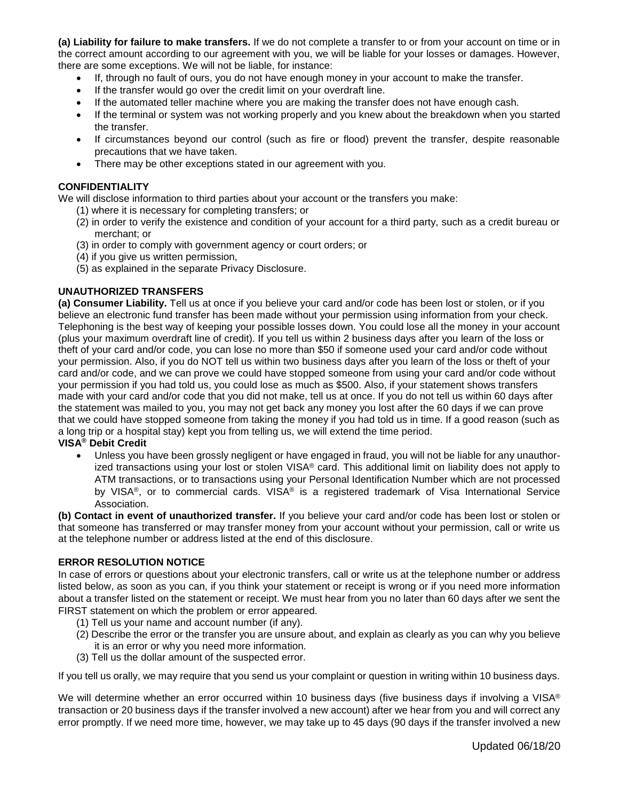**(a) Liability for failure to make transfers.** If we do not complete a transfer to or from your account on time or in the correct amount according to our agreement with you, we will be liable for your losses or damages. However, there are some exceptions. We will not be liable, for instance:

- If, through no fault of ours, you do not have enough money in your account to make the transfer.
- If the transfer would go over the credit limit on your overdraft line.
- If the automated teller machine where you are making the transfer does not have enough cash.
- If the terminal or system was not working properly and you knew about the breakdown when you started the transfer.
- If circumstances beyond our control (such as fire or flood) prevent the transfer, despite reasonable precautions that we have taken.
- There may be other exceptions stated in our agreement with you.

## **CONFIDENTIALITY**

We will disclose information to third parties about your account or the transfers you make:

- (1) where it is necessary for completing transfers; or
- (2) in order to verify the existence and condition of your account for a third party, such as a credit bureau or merchant; or
- (3) in order to comply with government agency or court orders; or
- (4) if you give us written permission,
- (5) as explained in the separate Privacy Disclosure.

# **UNAUTHORIZED TRANSFERS**

**(a) Consumer Liability.** Tell us at once if you believe your card and/or code has been lost or stolen, or if you believe an electronic fund transfer has been made without your permission using information from your check. Telephoning is the best way of keeping your possible losses down. You could lose all the money in your account (plus your maximum overdraft line of credit). If you tell us within 2 business days after you learn of the loss or theft of your card and/or code, you can lose no more than \$50 if someone used your card and/or code without your permission. Also, if you do NOT tell us within two business days after you learn of the loss or theft of your card and/or code, and we can prove we could have stopped someone from using your card and/or code without your permission if you had told us, you could lose as much as \$500. Also, if your statement shows transfers made with your card and/or code that you did not make, tell us at once. If you do not tell us within 60 days after the statement was mailed to you, you may not get back any money you lost after the 60 days if we can prove that we could have stopped someone from taking the money if you had told us in time. If a good reason (such as a long trip or a hospital stay) kept you from telling us, we will extend the time period.

#### **VISA® Debit Credit**

 Unless you have been grossly negligent or have engaged in fraud, you will not be liable for any unauthorized transactions using your lost or stolen  $VISA^{\circledast}$  card. This additional limit on liability does not apply to ATM transactions, or to transactions using your Personal Identification Number which are not processed by VISA®, or to commercial cards. VISA® is a registered trademark of Visa International Service Association.

**(b) Contact in event of unauthorized transfer.** If you believe your card and/or code has been lost or stolen or that someone has transferred or may transfer money from your account without your permission, call or write us at the telephone number or address listed at the end of this disclosure.

# **ERROR RESOLUTION NOTICE**

In case of errors or questions about your electronic transfers, call or write us at the telephone number or address listed below, as soon as you can, if you think your statement or receipt is wrong or if you need more information about a transfer listed on the statement or receipt. We must hear from you no later than 60 days after we sent the FIRST statement on which the problem or error appeared.

- (1) Tell us your name and account number (if any).
- (2) Describe the error or the transfer you are unsure about, and explain as clearly as you can why you believe it is an error or why you need more information.
- (3) Tell us the dollar amount of the suspected error.

If you tell us orally, we may require that you send us your complaint or question in writing within 10 business days.

We will determine whether an error occurred within 10 business days (five business days if involving a VISA<sup>®</sup> transaction or 20 business days if the transfer involved a new account) after we hear from you and will correct any error promptly. If we need more time, however, we may take up to 45 days (90 days if the transfer involved a new